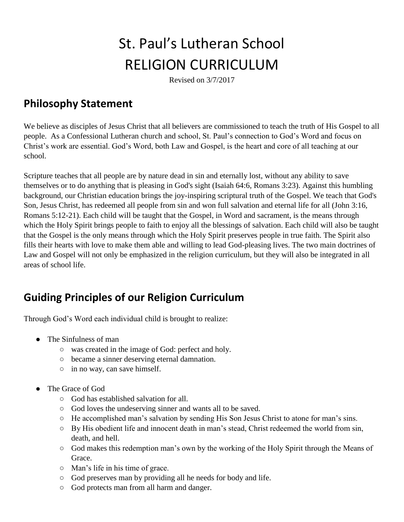# St. Paul's Lutheran School RELIGION CURRICULUM

Revised on 3/7/2017

### **Philosophy Statement**

We believe as disciples of Jesus Christ that all believers are commissioned to teach the truth of His Gospel to all people. As a Confessional Lutheran church and school, St. Paul's connection to God's Word and focus on Christ's work are essential. God's Word, both Law and Gospel, is the heart and core of all teaching at our school.

Scripture teaches that all people are by nature dead in sin and eternally lost, without any ability to save themselves or to do anything that is pleasing in God's sight (Isaiah 64:6, Romans 3:23). Against this humbling background, our Christian education brings the joy-inspiring scriptural truth of the Gospel. We teach that God's Son, Jesus Christ, has redeemed all people from sin and won full salvation and eternal life for all (John 3:16, Romans 5:12-21). Each child will be taught that the Gospel, in Word and sacrament, is the means through which the Holy Spirit brings people to faith to enjoy all the blessings of salvation. Each child will also be taught that the Gospel is the only means through which the Holy Spirit preserves people in true faith. The Spirit also fills their hearts with love to make them able and willing to lead God-pleasing lives. The two main doctrines of Law and Gospel will not only be emphasized in the religion curriculum, but they will also be integrated in all areas of school life.

## **Guiding Principles of our Religion Curriculum**

Through God's Word each individual child is brought to realize:

- The Sinfulness of man
	- was created in the image of God: perfect and holy.
	- became a sinner deserving eternal damnation.
	- in no way, can save himself.
- The Grace of God
	- God has established salvation for all.
	- God loves the undeserving sinner and wants all to be saved.
	- He accomplished man's salvation by sending His Son Jesus Christ to atone for man's sins.
	- By His obedient life and innocent death in man's stead, Christ redeemed the world from sin, death, and hell.
	- God makes this redemption man's own by the working of the Holy Spirit through the Means of Grace.
	- Man's life in his time of grace.
	- God preserves man by providing all he needs for body and life.
	- God protects man from all harm and danger.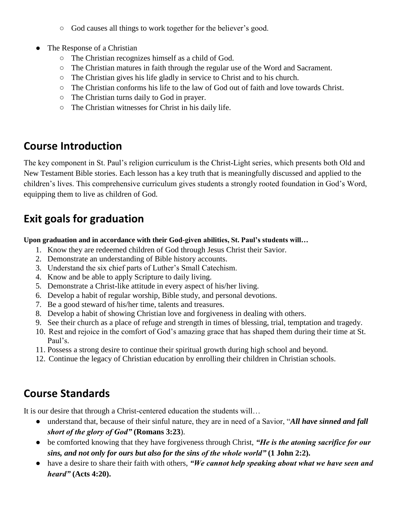- God causes all things to work together for the believer's good.
- The Response of a Christian
	- The Christian recognizes himself as a child of God.
	- The Christian matures in faith through the regular use of the Word and Sacrament.
	- The Christian gives his life gladly in service to Christ and to his church.
	- The Christian conforms his life to the law of God out of faith and love towards Christ.
	- The Christian turns daily to God in prayer.
	- The Christian witnesses for Christ in his daily life.

### **Course Introduction**

The key component in St. Paul's religion curriculum is the Christ-Light series, which presents both Old and New Testament Bible stories. Each lesson has a key truth that is meaningfully discussed and applied to the children's lives. This comprehensive curriculum gives students a strongly rooted foundation in God's Word, equipping them to live as children of God.

# **Exit goals for graduation**

**Upon graduation and in accordance with their God-given abilities, St. Paul's students will…** 

- 1. Know they are redeemed children of God through Jesus Christ their Savior.
- 2. Demonstrate an understanding of Bible history accounts.
- 3. Understand the six chief parts of Luther's Small Catechism.
- 4. Know and be able to apply Scripture to daily living.
- 5. Demonstrate a Christ-like attitude in every aspect of his/her living.
- 6. Develop a habit of regular worship, Bible study, and personal devotions.
- 7. Be a good steward of his/her time, talents and treasures.
- 8. Develop a habit of showing Christian love and forgiveness in dealing with others.
- 9. See their church as a place of refuge and strength in times of blessing, trial, temptation and tragedy.
- 10. Rest and rejoice in the comfort of God's amazing grace that has shaped them during their time at St. Paul's.
- 11. Possess a strong desire to continue their spiritual growth during high school and beyond.
- 12. Continue the legacy of Christian education by enrolling their children in Christian schools.

# **Course Standards**

It is our desire that through a Christ-centered education the students will…

- understand that, because of their sinful nature, they are in need of a Savior, "*All have sinned and fall short of the glory of God"* **(Romans 3:23**).
- be comforted knowing that they have forgiveness through Christ, *"He is the atoning sacrifice for our sins, and not only for ours but also for the sins of the whole world"* **(1 John 2:2).**
- have a desire to share their faith with others, *"We cannot help speaking about what we have seen and heard"* **(Acts 4:20).**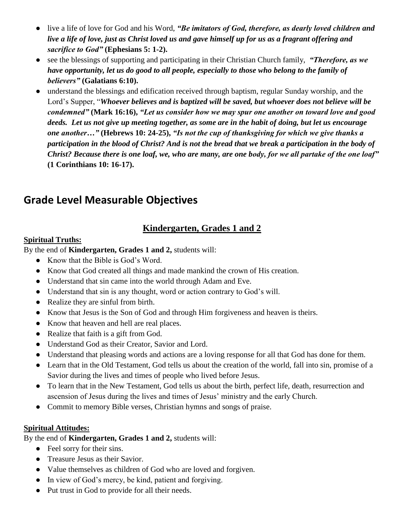- live a life of love for God and his Word, *"Be imitators of God, therefore, as dearly loved children and live a life of love, just as Christ loved us and gave himself up for us as a fragrant offering and sacrifice to God"* **(Ephesians 5: 1-2).**
- see the blessings of supporting and participating in their Christian Church family, *"Therefore, as we have opportunity, let us do good to all people, especially to those who belong to the family of believers"* **(Galatians 6:10).**
- understand the blessings and edification received through baptism, regular Sunday worship, and the Lord's Supper, "*Whoever believes and is baptized will be saved, but whoever does not believe will be condemned"* **(Mark 16:16),** *"Let us consider how we may spur one another on toward love and good deeds. Let us not give up meeting together, as some are in the habit of doing, but let us encourage one another…"* **(Hebrews 10: 24-25),** *"Is not the cup of thanksgiving for which we give thanks a participation in the blood of Christ? And is not the bread that we break a participation in the body of Christ? Because there is one loaf, we, who are many, are one body, for we all partake of the one loaf"* **(1 Corinthians 10: 16-17).**

### **Grade Level Measurable Objectives**

### **Kindergarten, Grades 1 and 2**

#### **Spiritual Truths:**

By the end of **Kindergarten, Grades 1 and 2,** students will:

- Know that the Bible is God's Word.
- Know that God created all things and made mankind the crown of His creation.
- Understand that sin came into the world through Adam and Eve.
- Understand that sin is any thought, word or action contrary to God's will.
- Realize they are sinful from birth.
- Know that Jesus is the Son of God and through Him forgiveness and heaven is theirs.
- Know that heaven and hell are real places.
- Realize that faith is a gift from God.
- Understand God as their Creator, Savior and Lord.
- Understand that pleasing words and actions are a loving response for all that God has done for them.
- Learn that in the Old Testament, God tells us about the creation of the world, fall into sin, promise of a Savior during the lives and times of people who lived before Jesus.
- To learn that in the New Testament, God tells us about the birth, perfect life, death, resurrection and ascension of Jesus during the lives and times of Jesus' ministry and the early Church.
- Commit to memory Bible verses, Christian hymns and songs of praise.

#### **Spiritual Attitudes:**

By the end of **Kindergarten, Grades 1 and 2,** students will:

- Feel sorry for their sins.
- Treasure Jesus as their Savior.
- Value themselves as children of God who are loved and forgiven.
- In view of God's mercy, be kind, patient and forgiving.
- Put trust in God to provide for all their needs.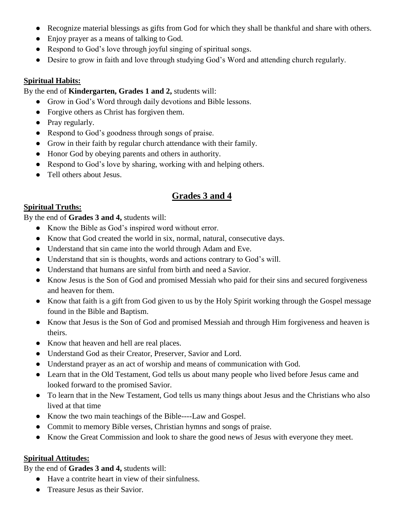- Recognize material blessings as gifts from God for which they shall be thankful and share with others.
- Enjoy prayer as a means of talking to God.
- Respond to God's love through joyful singing of spiritual songs.
- Desire to grow in faith and love through studying God's Word and attending church regularly.

#### **Spiritual Habits:**

By the end of **Kindergarten, Grades 1 and 2,** students will:

- Grow in God's Word through daily devotions and Bible lessons.
- Forgive others as Christ has forgiven them.
- Pray regularly.
- Respond to God's goodness through songs of praise.
- Grow in their faith by regular church attendance with their family.
- Honor God by obeying parents and others in authority.
- Respond to God's love by sharing, working with and helping others.
- Tell others about Jesus.

### **Grades 3 and 4**

#### **Spiritual Truths:**

By the end of **Grades 3 and 4,** students will:

- Know the Bible as God's inspired word without error.
- Know that God created the world in six, normal, natural, consecutive days.
- Understand that sin came into the world through Adam and Eve.
- Understand that sin is thoughts, words and actions contrary to God's will.
- Understand that humans are sinful from birth and need a Savior.
- Know Jesus is the Son of God and promised Messiah who paid for their sins and secured forgiveness and heaven for them.
- Know that faith is a gift from God given to us by the Holy Spirit working through the Gospel message found in the Bible and Baptism.
- Know that Jesus is the Son of God and promised Messiah and through Him forgiveness and heaven is theirs.
- Know that heaven and hell are real places.
- Understand God as their Creator, Preserver, Savior and Lord.
- Understand prayer as an act of worship and means of communication with God.
- Learn that in the Old Testament, God tells us about many people who lived before Jesus came and looked forward to the promised Savior.
- To learn that in the New Testament, God tells us many things about Jesus and the Christians who also lived at that time
- Know the two main teachings of the Bible----Law and Gospel.
- Commit to memory Bible verses, Christian hymns and songs of praise.
- Know the Great Commission and look to share the good news of Jesus with everyone they meet.

#### **Spiritual Attitudes:**

By the end of **Grades 3 and 4,** students will:

- Have a contrite heart in view of their sinfulness.
- Treasure Jesus as their Savior.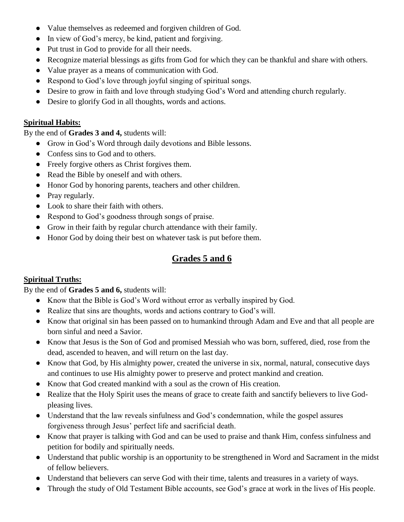- Value themselves as redeemed and forgiven children of God.
- In view of God's mercy, be kind, patient and forgiving.
- Put trust in God to provide for all their needs.
- Recognize material blessings as gifts from God for which they can be thankful and share with others.
- Value prayer as a means of communication with God.
- Respond to God's love through joyful singing of spiritual songs.
- Desire to grow in faith and love through studying God's Word and attending church regularly.
- Desire to glorify God in all thoughts, words and actions.

#### **Spiritual Habits:**

By the end of **Grades 3 and 4,** students will:

- Grow in God's Word through daily devotions and Bible lessons.
- Confess sins to God and to others.
- Freely forgive others as Christ forgives them.
- Read the Bible by oneself and with others.
- Honor God by honoring parents, teachers and other children.
- Pray regularly.
- Look to share their faith with others.
- Respond to God's goodness through songs of praise.
- Grow in their faith by regular church attendance with their family.
- Honor God by doing their best on whatever task is put before them.

### **Grades 5 and 6**

#### **Spiritual Truths:**

By the end of **Grades 5 and 6,** students will:

- Know that the Bible is God's Word without error as verbally inspired by God.
- Realize that sins are thoughts, words and actions contrary to God's will.
- Know that original sin has been passed on to humankind through Adam and Eve and that all people are born sinful and need a Savior.
- Know that Jesus is the Son of God and promised Messiah who was born, suffered, died, rose from the dead, ascended to heaven, and will return on the last day.
- Know that God, by His almighty power, created the universe in six, normal, natural, consecutive days and continues to use His almighty power to preserve and protect mankind and creation.
- Know that God created mankind with a soul as the crown of His creation.
- Realize that the Holy Spirit uses the means of grace to create faith and sanctify believers to live Godpleasing lives.
- Understand that the law reveals sinfulness and God's condemnation, while the gospel assures forgiveness through Jesus' perfect life and sacrificial death.
- Know that prayer is talking with God and can be used to praise and thank Him, confess sinfulness and petition for bodily and spiritually needs.
- Understand that public worship is an opportunity to be strengthened in Word and Sacrament in the midst of fellow believers.
- Understand that believers can serve God with their time, talents and treasures in a variety of ways.
- Through the study of Old Testament Bible accounts, see God's grace at work in the lives of His people.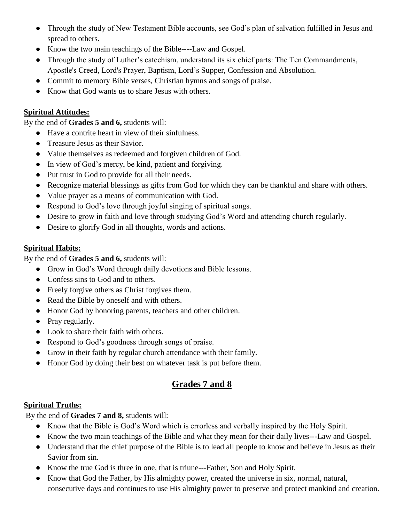- Through the study of New Testament Bible accounts, see God's plan of salvation fulfilled in Jesus and spread to others.
- Know the two main teachings of the Bible----Law and Gospel.
- Through the study of Luther's catechism, understand its six chief parts: The Ten Commandments, Apostle's Creed, Lord's Prayer, Baptism, Lord's Supper, Confession and Absolution.
- Commit to memory Bible verses, Christian hymns and songs of praise.
- Know that God wants us to share Jesus with others.

#### **Spiritual Attitudes:**

By the end of **Grades 5 and 6,** students will:

- Have a contrite heart in view of their sinfulness.
- **•** Treasure Jesus as their Savior.
- Value themselves as redeemed and forgiven children of God.
- In view of God's mercy, be kind, patient and forgiving.
- Put trust in God to provide for all their needs.
- Recognize material blessings as gifts from God for which they can be thankful and share with others.
- Value prayer as a means of communication with God.
- Respond to God's love through joyful singing of spiritual songs.
- Desire to grow in faith and love through studying God's Word and attending church regularly.
- Desire to glorify God in all thoughts, words and actions.

#### **Spiritual Habits:**

By the end of **Grades 5 and 6,** students will:

- Grow in God's Word through daily devotions and Bible lessons.
- Confess sins to God and to others.
- Freely forgive others as Christ forgives them.
- Read the Bible by oneself and with others.
- Honor God by honoring parents, teachers and other children.
- Pray regularly.
- Look to share their faith with others.
- Respond to God's goodness through songs of praise.
- Grow in their faith by regular church attendance with their family.
- Honor God by doing their best on whatever task is put before them.

### **Grades 7 and 8**

#### **Spiritual Truths:**

By the end of **Grades 7 and 8,** students will:

- Know that the Bible is God's Word which is errorless and verbally inspired by the Holy Spirit.
- Know the two main teachings of the Bible and what they mean for their daily lives---Law and Gospel.
- Understand that the chief purpose of the Bible is to lead all people to know and believe in Jesus as their Savior from sin.
- Know the true God is three in one, that is triune---Father, Son and Holy Spirit.
- Know that God the Father, by His almighty power, created the universe in six, normal, natural, consecutive days and continues to use His almighty power to preserve and protect mankind and creation.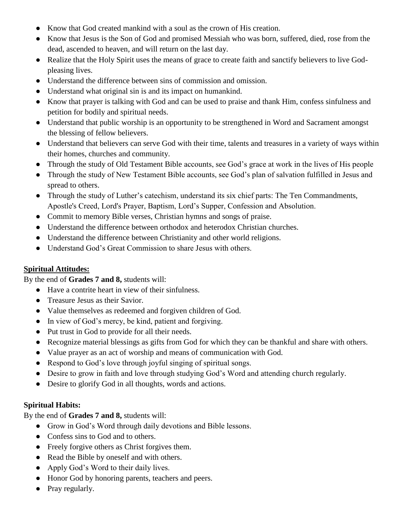- Know that God created mankind with a soul as the crown of His creation.
- Know that Jesus is the Son of God and promised Messiah who was born, suffered, died, rose from the dead, ascended to heaven, and will return on the last day.
- Realize that the Holy Spirit uses the means of grace to create faith and sanctify believers to live Godpleasing lives.
- Understand the difference between sins of commission and omission.
- Understand what original sin is and its impact on humankind.
- Know that prayer is talking with God and can be used to praise and thank Him, confess sinfulness and petition for bodily and spiritual needs.
- Understand that public worship is an opportunity to be strengthened in Word and Sacrament amongst the blessing of fellow believers.
- Understand that believers can serve God with their time, talents and treasures in a variety of ways within their homes, churches and community.
- Through the study of Old Testament Bible accounts, see God's grace at work in the lives of His people
- Through the study of New Testament Bible accounts, see God's plan of salvation fulfilled in Jesus and spread to others.
- Through the study of Luther's catechism, understand its six chief parts: The Ten Commandments, Apostle's Creed, Lord's Prayer, Baptism, Lord's Supper, Confession and Absolution.
- Commit to memory Bible verses, Christian hymns and songs of praise.
- Understand the difference between orthodox and heterodox Christian churches.
- Understand the difference between Christianity and other world religions.
- Understand God's Great Commission to share Jesus with others.

#### **Spiritual Attitudes:**

By the end of **Grades 7 and 8,** students will:

- Have a contrite heart in view of their sinfulness.
- Treasure Jesus as their Savior.
- Value themselves as redeemed and forgiven children of God.
- In view of God's mercy, be kind, patient and forgiving.
- Put trust in God to provide for all their needs.
- Recognize material blessings as gifts from God for which they can be thankful and share with others.
- Value prayer as an act of worship and means of communication with God.
- Respond to God's love through joyful singing of spiritual songs.
- Desire to grow in faith and love through studying God's Word and attending church regularly.
- Desire to glorify God in all thoughts, words and actions.

#### **Spiritual Habits:**

By the end of **Grades 7 and 8,** students will:

- Grow in God's Word through daily devotions and Bible lessons.
- Confess sins to God and to others.
- Freely forgive others as Christ forgives them.
- Read the Bible by oneself and with others.
- Apply God's Word to their daily lives.
- Honor God by honoring parents, teachers and peers.
- Pray regularly.